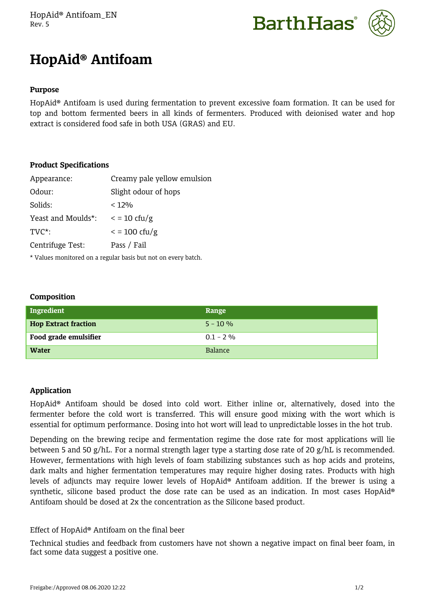HopAid® Antifoam\_EN Rev. 5





# **HopAid® Antifoam**

## **Purpose**

HopAid® Antifoam is used during fermentation to prevent excessive foam formation. It can be used for top and bottom fermented beers in all kinds of fermenters. Produced with deionised water and hop extract is considered food safe in both USA (GRAS) and EU.

# **Product Specifications**

| Appearance:        | Creamy pale yellow emulsion |
|--------------------|-----------------------------|
| Odour:             | Slight odour of hops        |
| Solids:            | $< 12\%$                    |
| Yeast and Moulds*: | $\epsilon$ = 10 cfu/g       |
| $TVC^*$ :          | $\epsilon$ = 100 cfu/g      |
| Centrifuge Test:   | Pass / Fail                 |
|                    |                             |

\* Values monitored on a regular basis but not on every batch.

### **Composition**

| Ingredient                  | Range          |
|-----------------------------|----------------|
| <b>Hop Extract fraction</b> | $5 - 10 \%$    |
| Food grade emulsifier       | $0.1 - 2\%$    |
| <b>Water</b>                | <b>Balance</b> |

# **Application**

HopAid® Antifoam should be dosed into cold wort. Either inline or, alternatively, dosed into the fermenter before the cold wort is transferred. This will ensure good mixing with the wort which is essential for optimum performance. Dosing into hot wort will lead to unpredictable losses in the hot trub.

Depending on the brewing recipe and fermentation regime the dose rate for most applications will lie between 5 and 50 g/hL. For a normal strength lager type a starting dose rate of 20 g/hL is recommended. However, fermentations with high levels of foam stabilizing substances such as hop acids and proteins, dark malts and higher fermentation temperatures may require higher dosing rates. Products with high levels of adjuncts may require lower levels of HopAid® Antifoam addition. If the brewer is using a synthetic, silicone based product the dose rate can be used as an indication. In most cases HopAid® Antifoam should be dosed at 2x the concentration as the Silicone based product.

# Effect of HopAid® Antifoam on the final beer

Technical studies and feedback from customers have not shown a negative impact on final beer foam, in fact some data suggest a positive one.